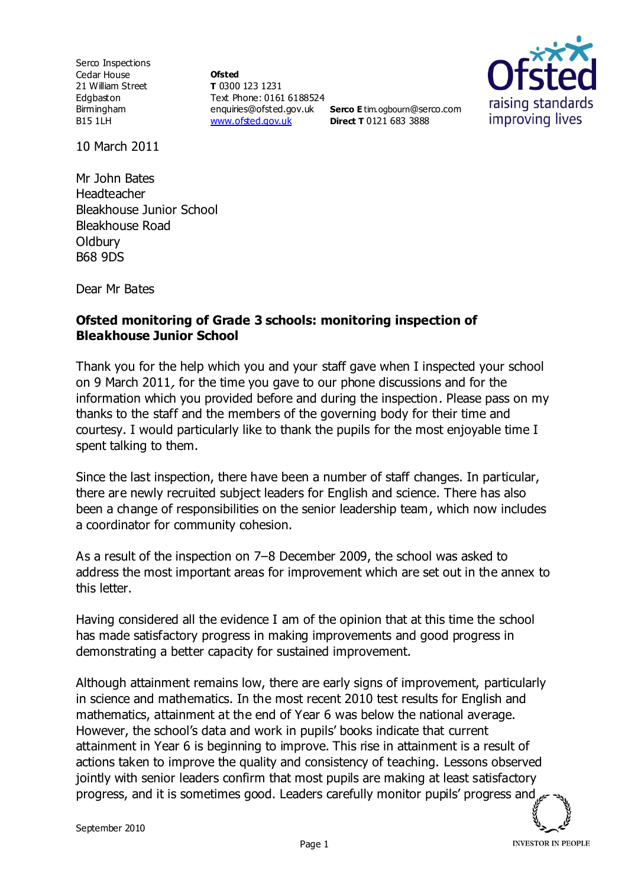Serco Inspections Cedar House 21 William Street Edgbaston Birmingham B15 1LH

**Ofsted T** 0300 123 1231 Text Phone: 0161 6188524 enquiries@ofsted.gov.uk **Serco E** tim.ogbourn@serco.com [www.ofsted.gov.uk](http://www.ofsted.gov.uk/)

**Direct T** 0121 683 3888



10 March 2011

Mr John Bates Headteacher Bleakhouse Junior School Bleakhouse Road **Oldbury** B68 9DS

Dear Mr Bates

## **Ofsted monitoring of Grade 3 schools: monitoring inspection of Bleakhouse Junior School**

Thank you for the help which you and your staff gave when I inspected your school on 9 March 2011, for the time you gave to our phone discussions and for the information which you provided before and during the inspection. Please pass on my thanks to the staff and the members of the governing body for their time and courtesy. I would particularly like to thank the pupils for the most enjoyable time I spent talking to them.

Since the last inspection, there have been a number of staff changes. In particular, there are newly recruited subject leaders for English and science. There has also been a change of responsibilities on the senior leadership team, which now includes a coordinator for community cohesion.

As a result of the inspection on 7–8 December 2009, the school was asked to address the most important areas for improvement which are set out in the annex to this letter.

Having considered all the evidence I am of the opinion that at this time the school has made satisfactory progress in making improvements and good progress in demonstrating a better capacity for sustained improvement.

Although attainment remains low, there are early signs of improvement, particularly in science and mathematics. In the most recent 2010 test results for English and mathematics, attainment at the end of Year 6 was below the national average. However, the school's data and work in pupils' books indicate that current attainment in Year 6 is beginning to improve. This rise in attainment is a result of actions taken to improve the quality and consistency of teaching. Lessons observed jointly with senior leaders confirm that most pupils are making at least satisfactory progress, and it is sometimes good. Leaders carefully monitor pupils' progress and

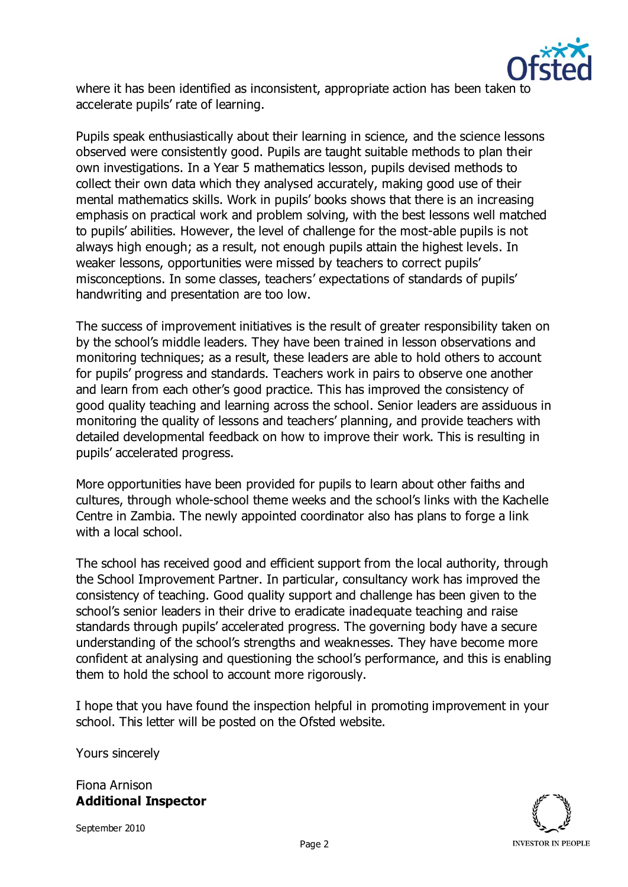

where it has been identified as inconsistent, appropriate action has been taken to accelerate pupils' rate of learning.

Pupils speak enthusiastically about their learning in science, and the science lessons observed were consistently good. Pupils are taught suitable methods to plan their own investigations. In a Year 5 mathematics lesson, pupils devised methods to collect their own data which they analysed accurately, making good use of their mental mathematics skills. Work in pupils' books shows that there is an increasing emphasis on practical work and problem solving, with the best lessons well matched to pupils' abilities. However, the level of challenge for the most-able pupils is not always high enough; as a result, not enough pupils attain the highest levels. In weaker lessons, opportunities were missed by teachers to correct pupils' misconceptions. In some classes, teachers' expectations of standards of pupils' handwriting and presentation are too low.

The success of improvement initiatives is the result of greater responsibility taken on by the school's middle leaders. They have been trained in lesson observations and monitoring techniques; as a result, these leaders are able to hold others to account for pupils' progress and standards. Teachers work in pairs to observe one another and learn from each other's good practice. This has improved the consistency of good quality teaching and learning across the school. Senior leaders are assiduous in monitoring the quality of lessons and teachers' planning, and provide teachers with detailed developmental feedback on how to improve their work. This is resulting in pupils' accelerated progress.

More opportunities have been provided for pupils to learn about other faiths and cultures, through whole-school theme weeks and the school's links with the Kachelle Centre in Zambia. The newly appointed coordinator also has plans to forge a link with a local school.

The school has received good and efficient support from the local authority, through the School Improvement Partner. In particular, consultancy work has improved the consistency of teaching. Good quality support and challenge has been given to the school's senior leaders in their drive to eradicate inadequate teaching and raise standards through pupils' accelerated progress. The governing body have a secure understanding of the school's strengths and weaknesses. They have become more confident at analysing and questioning the school's performance, and this is enabling them to hold the school to account more rigorously.

I hope that you have found the inspection helpful in promoting improvement in your school. This letter will be posted on the Ofsted website.

Yours sincerely

Fiona Arnison **Additional Inspector**

September 2010